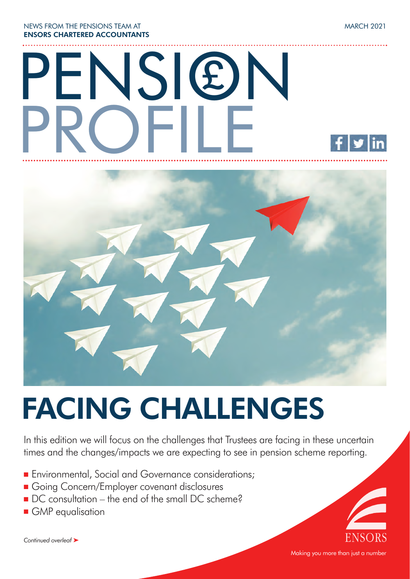NEWS FROM THE PENSIONS TEAM AT ENSORS CHARTERED ACCOUNTANTS

# PENSION PROFILE £



## FACING CHALLENGES

In this edition we will focus on the challenges that Trustees are facing in these uncertain times and the changes/impacts we are expecting to see in pension scheme reporting.

- **Environmental, Social and Governance considerations;**
- **n** Going Concern/Employer covenant disclosures
- DC consultation the end of the small DC scheme?
- **n** GMP equalisation

*Continued overleaf* ‰



Making you more than just a number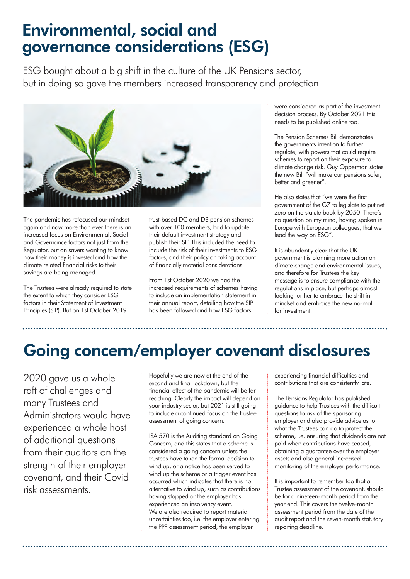### Environmental, social and governance considerations (ESG)

ESG bought about a big shift in the culture of the UK Pensions sector, but in doing so gave the members increased transparency and protection.



The pandemic has refocused our mindset again and now more than ever there is an increased focus on Environmental, Social and Governance factors not just from the Regulator, but on savers wanting to know how their money is invested and how the climate related financial risks to their savings are being managed.

The Trustees were already required to state the extent to which they consider ESG factors in their Statement of Investment Principles (SIP). But on 1st October 2019

trust-based DC and DB pension schemes with over 100 members, had to update their default investment strategy and publish their SIP. This included the need to include the risk of their investments to ESG factors, and their policy on taking account of financially material considerations.

From 1st October 2020 we had the increased requirements of schemes having to include an implementation statement in their annual report, detailing how the SIP has been followed and how ESG factors

were considered as part of the investment decision process. By October 2021 this needs to be published online too.

The Pension Schemes Bill demonstrates the governments intention to further regulate, with powers that could require schemes to report on their exposure to climate change risk. Guy Opperman states the new Bill "will make our pensions safer, better and greener".

He also states that "we were the first government of the G7 to legislate to put net zero on the statute book by 2050. There's no question on my mind, having spoken in Europe with European colleagues, that we lead the way on ESG".

It is abundantly clear that the UK government is planning more action on climate change and environmental issues, and therefore for Trustees the key message is to ensure compliance with the regulations in place, but perhaps almost looking further to embrace the shift in mindset and embrace the new normal for investment.

## Going concern/employer covenant disclosures

2020 gave us a whole raft of challenges and many Trustees and Administrators would have experienced a whole host of additional questions from their auditors on the strength of their employer covenant, and their Covid risk assessments.

Hopefully we are now at the end of the second and final lockdown, but the financial effect of the pandemic will be far reaching. Clearly the impact will depend on your industry sector, but 2021 is still going to include a continued focus on the trustee assessment of going concern.

ISA 570 is the Auditing standard on Going Concern, and this states that a scheme is considered a going concern unless the trustees have taken the formal decision to wind up, or a notice has been served to wind up the scheme or a trigger event has occurred which indicates that there is no alternative to wind up, such as contributions having stopped or the employer has experienced an insolvency event. We are also required to report material uncertainties too, i.e. the employer entering the PPF assessment period, the employer

experiencing financial difficulties and contributions that are consistently late.

The Pensions Regulator has published guidance to help Trustees with the difficult questions to ask of the sponsoring employer and also provide advice as to what the Trustees can do to protect the scheme, i.e. ensuring that dividends are not paid when contributions have ceased, obtaining a guarantee over the employer assets and also general increased monitoring of the employer performance.

It is important to remember too that a Trustee assessment of the covenant, should be for a nineteen-month period from the year end. This covers the twelve-month assessment period from the date of the audit report and the seven-month statutory reporting deadline.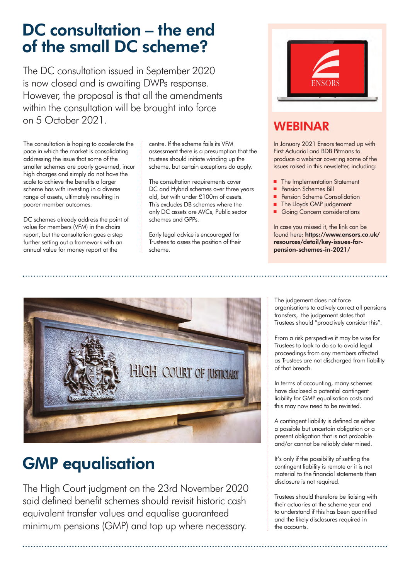### DC consultation – the end of the small DC scheme?

The DC consultation issued in September 2020 is now closed and is awaiting DWPs response. However, the proposal is that all the amendments within the consultation will be brought into force on 5 October 2021.

The consultation is hoping to accelerate the pace in which the market is consolidating addressing the issue that some of the smaller schemes are poorly governed, incur high charges and simply do not have the scale to achieve the benefits a larger scheme has with investing in a diverse range of assets, ultimately resulting in poorer member outcomes.

DC schemes already address the point of value for members (VFM) in the chairs report, but the consultation goes a step further setting out a framework with an annual value for money report at the

centre. If the scheme fails its VFM assessment there is a presumption that the trustees should initiate winding up the scheme, but certain exceptions do apply.

The consultation requirements cover DC and Hybrid schemes over three years old, but with under £100m of assets. This excludes DB schemes where the only DC assets are AVCs, Public sector schemes and GPPs.

Early legal advice is encouraged for Trustees to asses the position of their scheme.



#### WEBINAR

In January 2021 Ensors teamed up with First Actuarial and BDB Pitmans to produce a webinar covering some of the issues raised in this newsletter, including:

- The Implementation Statement
- Pension Schemes Bill
- Pension Scheme Consolidation
- The Lloyds GMP judgement
- Going Concern considerations

In case you missed it, the link can be found here: https://www.ensors.co.uk/ resources/detail/key-issues-forpension-schemes-in-2021/



## GMP equalisation

The High Court judgment on the 23rd November 2020 said defined benefit schemes should revisit historic cash equivalent transfer values and equalise guaranteed minimum pensions (GMP) and top up where necessary.

The judgement does not force organisations to actively correct all pensions transfers, the judgement states that Trustees should "proactively consider this".

From a risk perspective it may be wise for Trustees to look to do so to avoid legal proceedings from any members affected as Trustees are not discharged from liability of that breach.

In terms of accounting, many schemes have disclosed a potential contingent liability for GMP equalisation costs and this may now need to be revisited.

A contingent liability is defined as either a possible but uncertain obligation or a present obligation that is not probable and/or cannot be reliably determined.

It's only if the possibility of settling the contingent liability is remote or it is not material to the financial statements then disclosure is not required.

Trustees should therefore be liaising with their actuaries at the scheme year end to understand if this has been quantified and the likely disclosures required in the accounts.